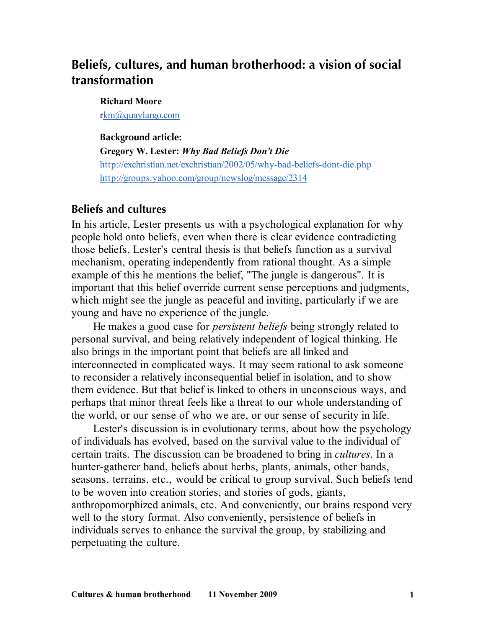# **Beliefs, cultures, and human brotherhood: a vision of social transformation**

#### **Richard Moore**

rkm@quaylargo.com

#### **Background article:**

**Gregory W. Lester:** *Why Bad Beliefs Don't Die* http://exchristian.net/exchristian/2002/05/why-bad-beliefs-dont-die.php http://groups.yahoo.com/group/newslog/message/2314

#### **Beliefs and cultures**

In his article, Lester presents us with a psychological explanation for why people hold onto beliefs, even when there is clear evidence contradicting those beliefs. Lester's central thesis is that beliefs function as a survival mechanism, operating independently from rational thought. As a simple example of this he mentions the belief, "The jungle is dangerous". It is important that this belief override current sense perceptions and judgments, which might see the jungle as peaceful and inviting, particularly if we are young and have no experience of the jungle.

He makes a good case for *persistent beliefs* being strongly related to personal survival, and being relatively independent of logical thinking. He also brings in the important point that beliefs are all linked and interconnected in complicated ways. It may seem rational to ask someone to reconsider a relatively inconsequential belief in isolation, and to show them evidence. But that belief is linked to others in unconscious ways, and perhaps that minor threat feels like a threat to our whole understanding of the world, or our sense of who we are, or our sense of security in life.

Lester's discussion is in evolutionary terms, about how the psychology of individuals has evolved, based on the survival value to the individual of certain traits. The discussion can be broadened to bring in *cultures*. In a hunter-gatherer band, beliefs about herbs, plants, animals, other bands, seasons, terrains, etc., would be critical to group survival. Such beliefs tend to be woven into creation stories, and stories of gods, giants, anthropomorphized animals, etc. And conveniently, our brains respond very well to the story format. Also conveniently, persistence of beliefs in individuals serves to enhance the survival the group, by stabilizing and perpetuating the culture.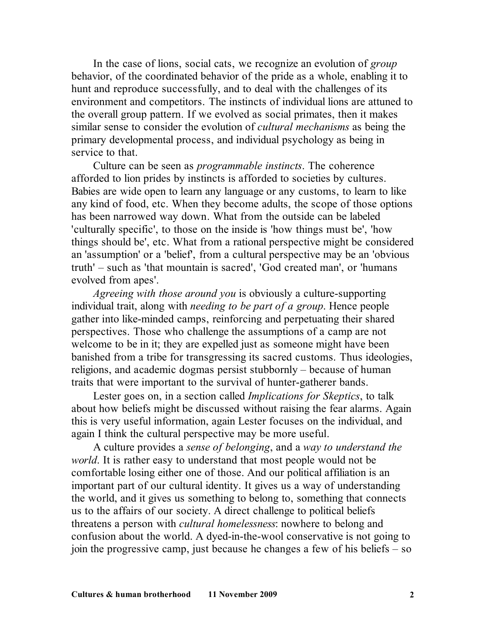In the case of lions, social cats, we recognize an evolution of *group* behavior, of the coordinated behavior of the pride as a whole, enabling it to hunt and reproduce successfully, and to deal with the challenges of its environment and competitors. The instincts of individual lions are attuned to the overall group pattern. If we evolved as social primates, then it makes similar sense to consider the evolution of *cultural mechanisms* as being the primary developmental process, and individual psychology as being in service to that.

Culture can be seen as *programmable instincts*. The coherence afforded to lion prides by instincts is afforded to societies by cultures. Babies are wide open to learn any language or any customs, to learn to like any kind of food, etc. When they become adults, the scope of those options has been narrowed way down. What from the outside can be labeled 'culturally specific', to those on the inside is 'how things must be', 'how things should be', etc. What from a rational perspective might be considered an 'assumption' or a 'belief', from a cultural perspective may be an 'obvious truth' – such as 'that mountain is sacred', 'God created man', or 'humans evolved from apes'.

*Agreeing with those around you* is obviously a culture-supporting individual trait, along with *needing to be part of a group*. Hence people gather into like-minded camps, reinforcing and perpetuating their shared perspectives. Those who challenge the assumptions of a camp are not welcome to be in it; they are expelled just as someone might have been banished from a tribe for transgressing its sacred customs. Thus ideologies, religions, and academic dogmas persist stubbornly – because of human traits that were important to the survival of hunter-gatherer bands.

Lester goes on, in a section called *Implications for Skeptics*, to talk about how beliefs might be discussed without raising the fear alarms. Again this is very useful information, again Lester focuses on the individual, and again I think the cultural perspective may be more useful.

A culture provides a *sense of belonging*, and a *way to understand the world*. It is rather easy to understand that most people would not be comfortable losing either one of those. And our political affiliation is an important part of our cultural identity. It gives us a way of understanding the world, and it gives us something to belong to, something that connects us to the affairs of our society. A direct challenge to political beliefs threatens a person with *cultural homelessness*: nowhere to belong and confusion about the world. A dyed-in-the-wool conservative is not going to join the progressive camp, just because he changes a few of his beliefs – so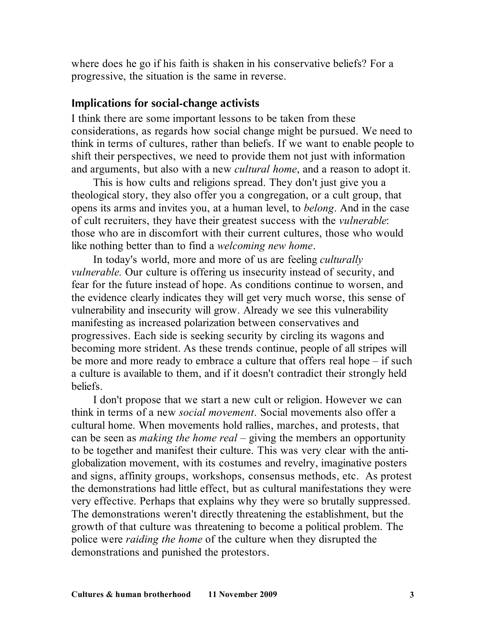where does he go if his faith is shaken in his conservative beliefs? For a progressive, the situation is the same in reverse.

#### **Implications for social-change activists**

I think there are some important lessons to be taken from these considerations, as regards how social change might be pursued. We need to think in terms of cultures, rather than beliefs. If we want to enable people to shift their perspectives, we need to provide them not just with information and arguments, but also with a new *cultural home*, and a reason to adopt it.

This is how cults and religions spread. They don't just give you a theological story, they also offer you a congregation, or a cult group, that opens its arms and invites you, at a human level, to *belong*. And in the case of cult recruiters, they have their greatest success with the *vulnerable*: those who are in discomfort with their current cultures, those who would like nothing better than to find a *welcoming new home*.

In today's world, more and more of us are feeling *culturally vulnerable.* Our culture is offering us insecurity instead of security, and fear for the future instead of hope. As conditions continue to worsen, and the evidence clearly indicates they will get very much worse, this sense of vulnerability and insecurity will grow. Already we see this vulnerability manifesting as increased polarization between conservatives and progressives. Each side is seeking security by circling its wagons and becoming more strident. As these trends continue, people of all stripes will be more and more ready to embrace a culture that offers real hope – if such a culture is available to them, and if it doesn't contradict their strongly held beliefs.

I don't propose that we start a new cult or religion. However we can think in terms of a new *social movement*. Social movements also offer a cultural home. When movements hold rallies, marches, and protests, that can be seen as *making the home real* – giving the members an opportunity to be together and manifest their culture. This was very clear with the antiglobalization movement, with its costumes and revelry, imaginative posters and signs, affinity groups, workshops, consensus methods, etc. As protest the demonstrations had little effect, but as cultural manifestations they were very effective. Perhaps that explains why they were so brutally suppressed. The demonstrations weren't directly threatening the establishment, but the growth of that culture was threatening to become a political problem. The police were *raiding the home* of the culture when they disrupted the demonstrations and punished the protestors.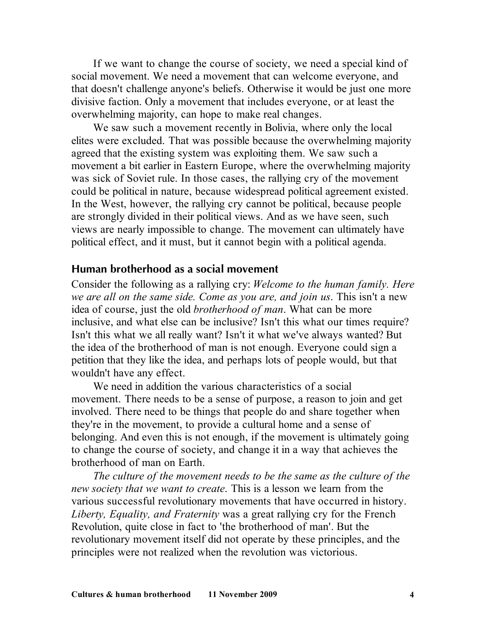If we want to change the course of society, we need a special kind of social movement. We need a movement that can welcome everyone, and that doesn't challenge anyone's beliefs. Otherwise it would be just one more divisive faction. Only a movement that includes everyone, or at least the overwhelming majority, can hope to make real changes.

We saw such a movement recently in Bolivia, where only the local elites were excluded. That was possible because the overwhelming majority agreed that the existing system was exploiting them. We saw such a movement a bit earlier in Eastern Europe, where the overwhelming majority was sick of Soviet rule. In those cases, the rallying cry of the movement could be political in nature, because widespread political agreement existed. In the West, however, the rallying cry cannot be political, because people are strongly divided in their political views. And as we have seen, such views are nearly impossible to change. The movement can ultimately have political effect, and it must, but it cannot begin with a political agenda.

#### **Human brotherhood as a social movement**

Consider the following as a rallying cry: *Welcome to the human family. Here we are all on the same side. Come as you are, and join us*. This isn't a new idea of course, just the old *brotherhood of man*. What can be more inclusive, and what else can be inclusive? Isn't this what our times require? Isn't this what we all really want? Isn't it what we've always wanted? But the idea of the brotherhood of man is not enough. Everyone could sign a petition that they like the idea, and perhaps lots of people would, but that wouldn't have any effect.

We need in addition the various characteristics of a social movement. There needs to be a sense of purpose, a reason to join and get involved. There need to be things that people do and share together when they're in the movement, to provide a cultural home and a sense of belonging. And even this is not enough, if the movement is ultimately going to change the course of society, and change it in a way that achieves the brotherhood of man on Earth.

*The culture of the movement needs to be the same as the culture of the new society that we want to create*. This is a lesson we learn from the various successful revolutionary movements that have occurred in history. *Liberty, Equality, and Fraternity* was a great rallying cry for the French Revolution, quite close in fact to 'the brotherhood of man'. But the revolutionary movement itself did not operate by these principles, and the principles were not realized when the revolution was victorious.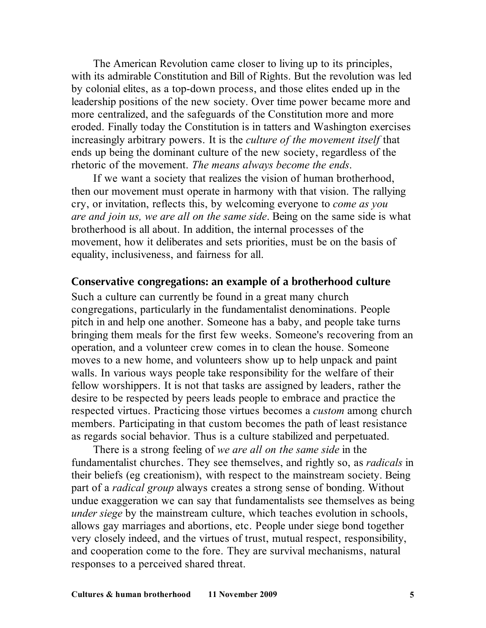The American Revolution came closer to living up to its principles, with its admirable Constitution and Bill of Rights. But the revolution was led by colonial elites, as a top-down process, and those elites ended up in the leadership positions of the new society. Over time power became more and more centralized, and the safeguards of the Constitution more and more eroded. Finally today the Constitution is in tatters and Washington exercises increasingly arbitrary powers. It is the *culture of the movement itself* that ends up being the dominant culture of the new society, regardless of the rhetoric of the movement. *The means always become the ends*.

If we want a society that realizes the vision of human brotherhood, then our movement must operate in harmony with that vision. The rallying cry, or invitation, reflects this, by welcoming everyone to *come as you are and join us, we are all on the same side*. Being on the same side is what brotherhood is all about. In addition, the internal processes of the movement, how it deliberates and sets priorities, must be on the basis of equality, inclusiveness, and fairness for all.

### **Conservative congregations: an example of a brotherhood culture**

Such a culture can currently be found in a great many church congregations, particularly in the fundamentalist denominations. People pitch in and help one another. Someone has a baby, and people take turns bringing them meals for the first few weeks. Someone's recovering from an operation, and a volunteer crew comes in to clean the house. Someone moves to a new home, and volunteers show up to help unpack and paint walls. In various ways people take responsibility for the welfare of their fellow worshippers. It is not that tasks are assigned by leaders, rather the desire to be respected by peers leads people to embrace and practice the respected virtues. Practicing those virtues becomes a *custom* among church members. Participating in that custom becomes the path of least resistance as regards social behavior. Thus is a culture stabilized and perpetuated.

There is a strong feeling of *we are all on the same side* in the fundamentalist churches. They see themselves, and rightly so, as *radicals* in their beliefs (eg creationism), with respect to the mainstream society. Being part of a *radical group* always creates a strong sense of bonding. Without undue exaggeration we can say that fundamentalists see themselves as being *under siege* by the mainstream culture, which teaches evolution in schools, allows gay marriages and abortions, etc. People under siege bond together very closely indeed, and the virtues of trust, mutual respect, responsibility, and cooperation come to the fore. They are survival mechanisms, natural responses to a perceived shared threat.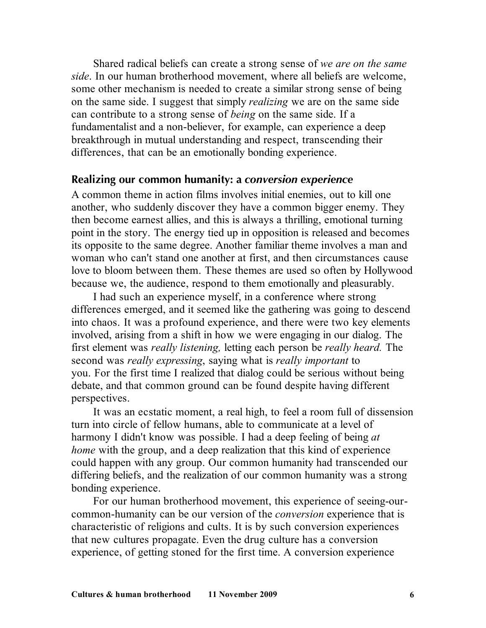Shared radical beliefs can create a strong sense of *we are on the same side*. In our human brotherhood movement, where all beliefs are welcome, some other mechanism is needed to create a similar strong sense of being on the same side. I suggest that simply *realizing* we are on the same side can contribute to a strong sense of *being* on the same side. If a fundamentalist and a non-believer, for example, can experience a deep breakthrough in mutual understanding and respect, transcending their differences, that can be an emotionally bonding experience.

## **Realizing our common humanity: a** *conversion experience*

A common theme in action films involves initial enemies, out to kill one another, who suddenly discover they have a common bigger enemy. They then become earnest allies, and this is always a thrilling, emotional turning point in the story. The energy tied up in opposition is released and becomes its opposite to the same degree. Another familiar theme involves a man and woman who can't stand one another at first, and then circumstances cause love to bloom between them. These themes are used so often by Hollywood because we, the audience, respond to them emotionally and pleasurably.

I had such an experience myself, in a conference where strong differences emerged, and it seemed like the gathering was going to descend into chaos. It was a profound experience, and there were two key elements involved, arising from a shift in how we were engaging in our dialog. The first element was *really listening,* letting each person be *really heard.* The second was *really expressing*, saying what is *really important* to you. For the first time I realized that dialog could be serious without being debate, and that common ground can be found despite having different perspectives.

It was an ecstatic moment, a real high, to feel a room full of dissension turn into circle of fellow humans, able to communicate at a level of harmony I didn't know was possible. I had a deep feeling of being *at home* with the group, and a deep realization that this kind of experience could happen with any group. Our common humanity had transcended our differing beliefs, and the realization of our common humanity was a strong bonding experience.

For our human brotherhood movement, this experience of seeing-ourcommon-humanity can be our version of the *conversion* experience that is characteristic of religions and cults. It is by such conversion experiences that new cultures propagate. Even the drug culture has a conversion experience, of getting stoned for the first time. A conversion experience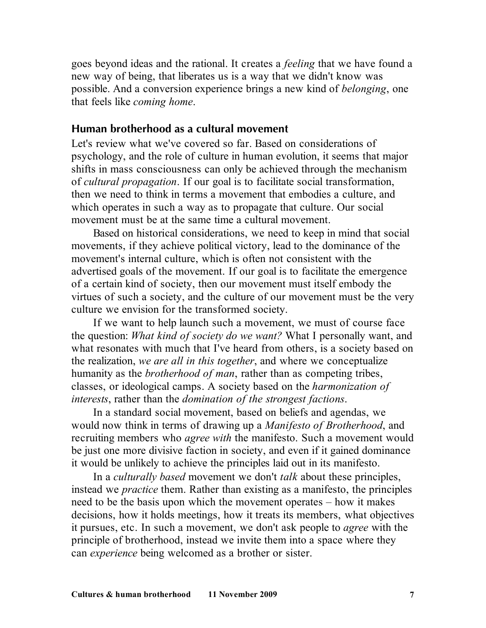goes beyond ideas and the rational. It creates a *feeling* that we have found a new way of being, that liberates us is a way that we didn't know was possible. And a conversion experience brings a new kind of *belonging*, one that feels like *coming home*.

## **Human brotherhood as a cultural movement**

Let's review what we've covered so far. Based on considerations of psychology, and the role of culture in human evolution, it seems that major shifts in mass consciousness can only be achieved through the mechanism of *cultural propagation*. If our goal is to facilitate social transformation, then we need to think in terms a movement that embodies a culture, and which operates in such a way as to propagate that culture. Our social movement must be at the same time a cultural movement.

Based on historical considerations, we need to keep in mind that social movements, if they achieve political victory, lead to the dominance of the movement's internal culture, which is often not consistent with the advertised goals of the movement. If our goal is to facilitate the emergence of a certain kind of society, then our movement must itself embody the virtues of such a society, and the culture of our movement must be the very culture we envision for the transformed society.

If we want to help launch such a movement, we must of course face the question: *What kind of society do we want?* What I personally want, and what resonates with much that I've heard from others, is a society based on the realization, *we are all in this together*, and where we conceptualize humanity as the *brotherhood of man*, rather than as competing tribes, classes, or ideological camps. A society based on the *harmonization of interests*, rather than the *domination of the strongest factions*.

In a standard social movement, based on beliefs and agendas, we would now think in terms of drawing up a *Manifesto of Brotherhood*, and recruiting members who *agree with* the manifesto. Such a movement would be just one more divisive faction in society, and even if it gained dominance it would be unlikely to achieve the principles laid out in its manifesto.

In a *culturally based* movement we don't *talk* about these principles, instead we *practice* them. Rather than existing as a manifesto, the principles need to be the basis upon which the movement operates – how it makes decisions, how it holds meetings, how it treats its members, what objectives it pursues, etc. In such a movement, we don't ask people to *agree* with the principle of brotherhood, instead we invite them into a space where they can *experience* being welcomed as a brother or sister.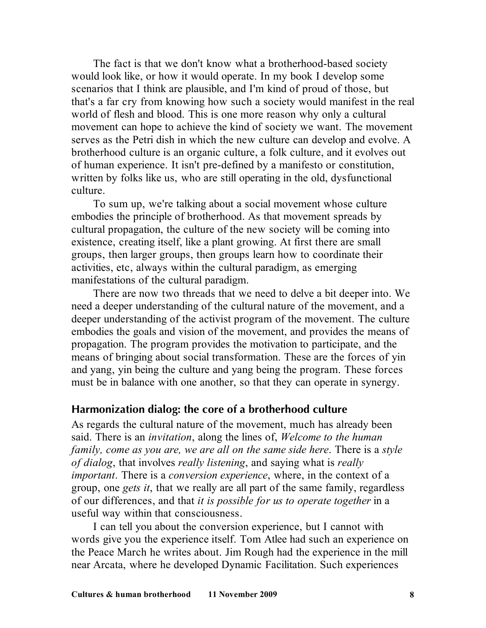The fact is that we don't know what a brotherhood-based society would look like, or how it would operate. In my book I develop some scenarios that I think are plausible, and I'm kind of proud of those, but that's a far cry from knowing how such a society would manifest in the real world of flesh and blood. This is one more reason why only a cultural movement can hope to achieve the kind of society we want. The movement serves as the Petri dish in which the new culture can develop and evolve. A brotherhood culture is an organic culture, a folk culture, and it evolves out of human experience. It isn't pre-defined by a manifesto or constitution, written by folks like us, who are still operating in the old, dysfunctional culture.

To sum up, we're talking about a social movement whose culture embodies the principle of brotherhood. As that movement spreads by cultural propagation, the culture of the new society will be coming into existence, creating itself, like a plant growing. At first there are small groups, then larger groups, then groups learn how to coordinate their activities, etc, always within the cultural paradigm, as emerging manifestations of the cultural paradigm.

There are now two threads that we need to delve a bit deeper into. We need a deeper understanding of the cultural nature of the movement, and a deeper understanding of the activist program of the movement. The culture embodies the goals and vision of the movement, and provides the means of propagation. The program provides the motivation to participate, and the means of bringing about social transformation. These are the forces of yin and yang, yin being the culture and yang being the program. These forces must be in balance with one another, so that they can operate in synergy.

### **Harmonization dialog: the core of a brotherhood culture**

As regards the cultural nature of the movement, much has already been said. There is an *invitation*, along the lines of, *Welcome to the human family, come as you are, we are all on the same side here*. There is a *style of dialog*, that involves *really listening*, and saying what is *really important*. There is a *conversion experience*, where, in the context of a group, one *gets it*, that we really are all part of the same family, regardless of our differences, and that *it is possible for us to operate together* in a useful way within that consciousness.

I can tell you about the conversion experience, but I cannot with words give you the experience itself. Tom Atlee had such an experience on the Peace March he writes about. Jim Rough had the experience in the mill near Arcata, where he developed Dynamic Facilitation. Such experiences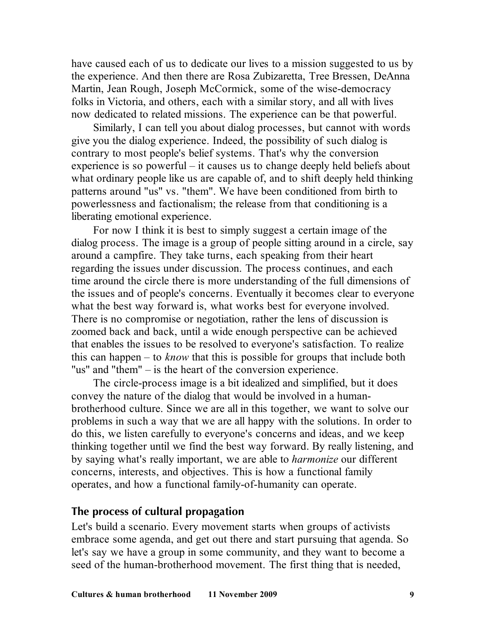have caused each of us to dedicate our lives to a mission suggested to us by the experience. And then there are Rosa Zubizaretta, Tree Bressen, DeAnna Martin, Jean Rough, Joseph McCormick, some of the wise-democracy folks in Victoria, and others, each with a similar story, and all with lives now dedicated to related missions. The experience can be that powerful.

Similarly, I can tell you about dialog processes, but cannot with words give you the dialog experience. Indeed, the possibility of such dialog is contrary to most people's belief systems. That's why the conversion experience is so powerful – it causes us to change deeply held beliefs about what ordinary people like us are capable of, and to shift deeply held thinking patterns around "us" vs. "them". We have been conditioned from birth to powerlessness and factionalism; the release from that conditioning is a liberating emotional experience.

For now I think it is best to simply suggest a certain image of the dialog process. The image is a group of people sitting around in a circle, say around a campfire. They take turns, each speaking from their heart regarding the issues under discussion. The process continues, and each time around the circle there is more understanding of the full dimensions of the issues and of people's concerns. Eventually it becomes clear to everyone what the best way forward is, what works best for everyone involved. There is no compromise or negotiation, rather the lens of discussion is zoomed back and back, until a wide enough perspective can be achieved that enables the issues to be resolved to everyone's satisfaction. To realize this can happen – to *know* that this is possible for groups that include both "us" and "them" – is the heart of the conversion experience.

The circle-process image is a bit idealized and simplified, but it does convey the nature of the dialog that would be involved in a humanbrotherhood culture. Since we are all in this together, we want to solve our problems in such a way that we are all happy with the solutions. In order to do this, we listen carefully to everyone's concerns and ideas, and we keep thinking together until we find the best way forward. By really listening, and by saying what's really important, we are able to *harmonize* our different concerns, interests, and objectives. This is how a functional family operates, and how a functional family-of-humanity can operate.

## **The process of cultural propagation**

Let's build a scenario. Every movement starts when groups of activists embrace some agenda, and get out there and start pursuing that agenda. So let's say we have a group in some community, and they want to become a seed of the human-brotherhood movement. The first thing that is needed,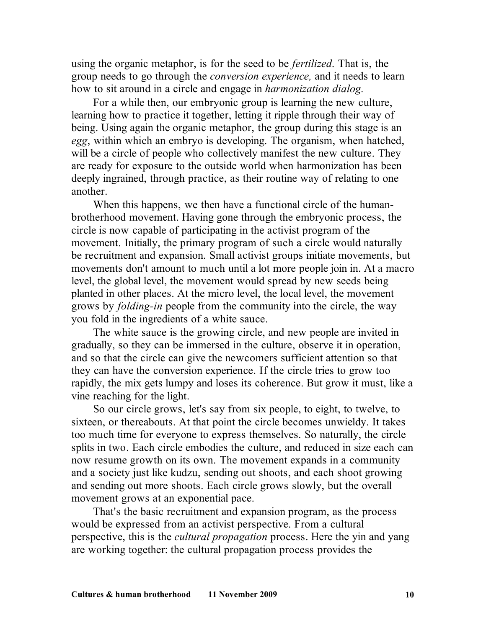using the organic metaphor, is for the seed to be *fertilized*. That is, the group needs to go through the *conversion experience,* and it needs to learn how to sit around in a circle and engage in *harmonization dialog.*

For a while then, our embryonic group is learning the new culture, learning how to practice it together, letting it ripple through their way of being. Using again the organic metaphor, the group during this stage is an *egg*, within which an embryo is developing. The organism, when hatched, will be a circle of people who collectively manifest the new culture. They are ready for exposure to the outside world when harmonization has been deeply ingrained, through practice, as their routine way of relating to one another.

When this happens, we then have a functional circle of the humanbrotherhood movement. Having gone through the embryonic process, the circle is now capable of participating in the activist program of the movement. Initially, the primary program of such a circle would naturally be recruitment and expansion. Small activist groups initiate movements, but movements don't amount to much until a lot more people join in. At a macro level, the global level, the movement would spread by new seeds being planted in other places. At the micro level, the local level, the movement grows by *folding-in* people from the community into the circle, the way you fold in the ingredients of a white sauce.

The white sauce is the growing circle, and new people are invited in gradually, so they can be immersed in the culture, observe it in operation, and so that the circle can give the newcomers sufficient attention so that they can have the conversion experience. If the circle tries to grow too rapidly, the mix gets lumpy and loses its coherence. But grow it must, like a vine reaching for the light.

So our circle grows, let's say from six people, to eight, to twelve, to sixteen, or thereabouts. At that point the circle becomes unwieldy. It takes too much time for everyone to express themselves. So naturally, the circle splits in two. Each circle embodies the culture, and reduced in size each can now resume growth on its own. The movement expands in a community and a society just like kudzu, sending out shoots, and each shoot growing and sending out more shoots. Each circle grows slowly, but the overall movement grows at an exponential pace.

That's the basic recruitment and expansion program, as the process would be expressed from an activist perspective. From a cultural perspective, this is the *cultural propagation* process. Here the yin and yang are working together: the cultural propagation process provides the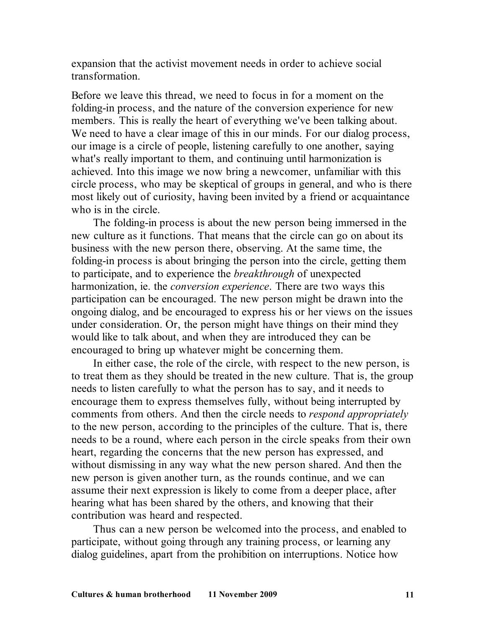expansion that the activist movement needs in order to achieve social transformation.

Before we leave this thread, we need to focus in for a moment on the folding-in process, and the nature of the conversion experience for new members. This is really the heart of everything we've been talking about. We need to have a clear image of this in our minds. For our dialog process, our image is a circle of people, listening carefully to one another, saying what's really important to them, and continuing until harmonization is achieved. Into this image we now bring a newcomer, unfamiliar with this circle process, who may be skeptical of groups in general, and who is there most likely out of curiosity, having been invited by a friend or acquaintance who is in the circle.

The folding-in process is about the new person being immersed in the new culture as it functions. That means that the circle can go on about its business with the new person there, observing. At the same time, the folding-in process is about bringing the person into the circle, getting them to participate, and to experience the *breakthrough* of unexpected harmonization, ie. the *conversion experience*. There are two ways this participation can be encouraged. The new person might be drawn into the ongoing dialog, and be encouraged to express his or her views on the issues under consideration. Or, the person might have things on their mind they would like to talk about, and when they are introduced they can be encouraged to bring up whatever might be concerning them.

In either case, the role of the circle, with respect to the new person, is to treat them as they should be treated in the new culture. That is, the group needs to listen carefully to what the person has to say, and it needs to encourage them to express themselves fully, without being interrupted by comments from others. And then the circle needs to *respond appropriately* to the new person, according to the principles of the culture. That is, there needs to be a round, where each person in the circle speaks from their own heart, regarding the concerns that the new person has expressed, and without dismissing in any way what the new person shared. And then the new person is given another turn, as the rounds continue, and we can assume their next expression is likely to come from a deeper place, after hearing what has been shared by the others, and knowing that their contribution was heard and respected.

Thus can a new person be welcomed into the process, and enabled to participate, without going through any training process, or learning any dialog guidelines, apart from the prohibition on interruptions. Notice how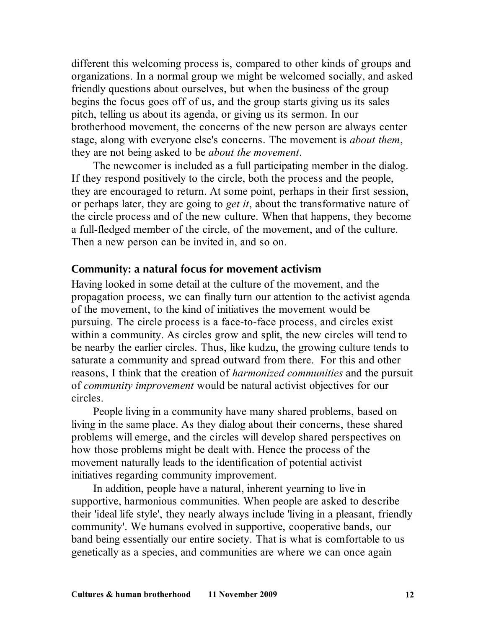different this welcoming process is, compared to other kinds of groups and organizations. In a normal group we might be welcomed socially, and asked friendly questions about ourselves, but when the business of the group begins the focus goes off of us, and the group starts giving us its sales pitch, telling us about its agenda, or giving us its sermon. In our brotherhood movement, the concerns of the new person are always center stage, along with everyone else's concerns. The movement is *about them*, they are not being asked to be *about the movement*.

The newcomer is included as a full participating member in the dialog. If they respond positively to the circle, both the process and the people, they are encouraged to return. At some point, perhaps in their first session, or perhaps later, they are going to *get it*, about the transformative nature of the circle process and of the new culture. When that happens, they become a full-fledged member of the circle, of the movement, and of the culture. Then a new person can be invited in, and so on.

## **Community: a natural focus for movement activism**

Having looked in some detail at the culture of the movement, and the propagation process, we can finally turn our attention to the activist agenda of the movement, to the kind of initiatives the movement would be pursuing. The circle process is a face-to-face process, and circles exist within a community. As circles grow and split, the new circles will tend to be nearby the earlier circles. Thus, like kudzu, the growing culture tends to saturate a community and spread outward from there. For this and other reasons, I think that the creation of *harmonized communities* and the pursuit of *community improvement* would be natural activist objectives for our circles.

People living in a community have many shared problems, based on living in the same place. As they dialog about their concerns, these shared problems will emerge, and the circles will develop shared perspectives on how those problems might be dealt with. Hence the process of the movement naturally leads to the identification of potential activist initiatives regarding community improvement.

In addition, people have a natural, inherent yearning to live in supportive, harmonious communities. When people are asked to describe their 'ideal life style', they nearly always include 'living in a pleasant, friendly community'. We humans evolved in supportive, cooperative bands, our band being essentially our entire society. That is what is comfortable to us genetically as a species, and communities are where we can once again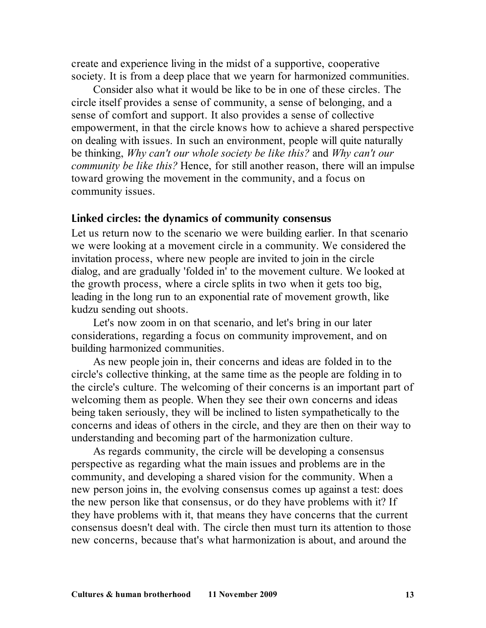create and experience living in the midst of a supportive, cooperative society. It is from a deep place that we yearn for harmonized communities.

Consider also what it would be like to be in one of these circles. The circle itself provides a sense of community, a sense of belonging, and a sense of comfort and support. It also provides a sense of collective empowerment, in that the circle knows how to achieve a shared perspective on dealing with issues. In such an environment, people will quite naturally be thinking, *Why can't our whole society be like this?* and *Why can't our community be like this?* Hence, for still another reason, there will an impulse toward growing the movement in the community, and a focus on community issues.

#### **Linked circles: the dynamics of community consensus**

Let us return now to the scenario we were building earlier. In that scenario we were looking at a movement circle in a community. We considered the invitation process, where new people are invited to join in the circle dialog, and are gradually 'folded in' to the movement culture. We looked at the growth process, where a circle splits in two when it gets too big, leading in the long run to an exponential rate of movement growth, like kudzu sending out shoots.

Let's now zoom in on that scenario, and let's bring in our later considerations, regarding a focus on community improvement, and on building harmonized communities.

As new people join in, their concerns and ideas are folded in to the circle's collective thinking, at the same time as the people are folding in to the circle's culture. The welcoming of their concerns is an important part of welcoming them as people. When they see their own concerns and ideas being taken seriously, they will be inclined to listen sympathetically to the concerns and ideas of others in the circle, and they are then on their way to understanding and becoming part of the harmonization culture.

As regards community, the circle will be developing a consensus perspective as regarding what the main issues and problems are in the community, and developing a shared vision for the community. When a new person joins in, the evolving consensus comes up against a test: does the new person like that consensus, or do they have problems with it? If they have problems with it, that means they have concerns that the current consensus doesn't deal with. The circle then must turn its attention to those new concerns, because that's what harmonization is about, and around the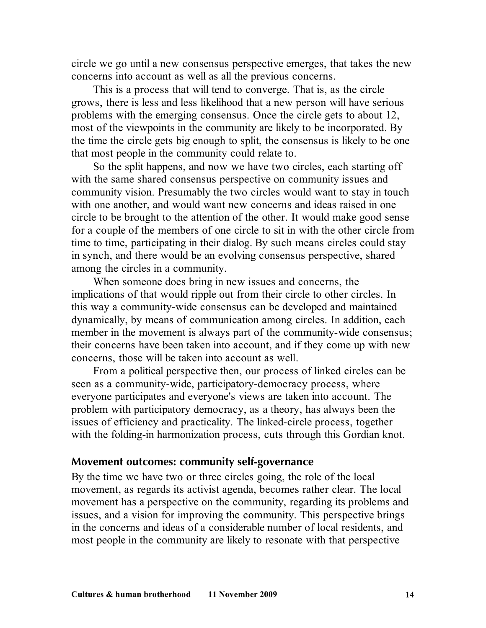circle we go until a new consensus perspective emerges, that takes the new concerns into account as well as all the previous concerns.

This is a process that will tend to converge. That is, as the circle grows, there is less and less likelihood that a new person will have serious problems with the emerging consensus. Once the circle gets to about 12, most of the viewpoints in the community are likely to be incorporated. By the time the circle gets big enough to split, the consensus is likely to be one that most people in the community could relate to.

So the split happens, and now we have two circles, each starting off with the same shared consensus perspective on community issues and community vision. Presumably the two circles would want to stay in touch with one another, and would want new concerns and ideas raised in one circle to be brought to the attention of the other. It would make good sense for a couple of the members of one circle to sit in with the other circle from time to time, participating in their dialog. By such means circles could stay in synch, and there would be an evolving consensus perspective, shared among the circles in a community.

When someone does bring in new issues and concerns, the implications of that would ripple out from their circle to other circles. In this way a community-wide consensus can be developed and maintained dynamically, by means of communication among circles. In addition, each member in the movement is always part of the community-wide consensus; their concerns have been taken into account, and if they come up with new concerns, those will be taken into account as well.

From a political perspective then, our process of linked circles can be seen as a community-wide, participatory-democracy process, where everyone participates and everyone's views are taken into account. The problem with participatory democracy, as a theory, has always been the issues of efficiency and practicality. The linked-circle process, together with the folding-in harmonization process, cuts through this Gordian knot.

#### **Movement outcomes: community self-governance**

By the time we have two or three circles going, the role of the local movement, as regards its activist agenda, becomes rather clear. The local movement has a perspective on the community, regarding its problems and issues, and a vision for improving the community. This perspective brings in the concerns and ideas of a considerable number of local residents, and most people in the community are likely to resonate with that perspective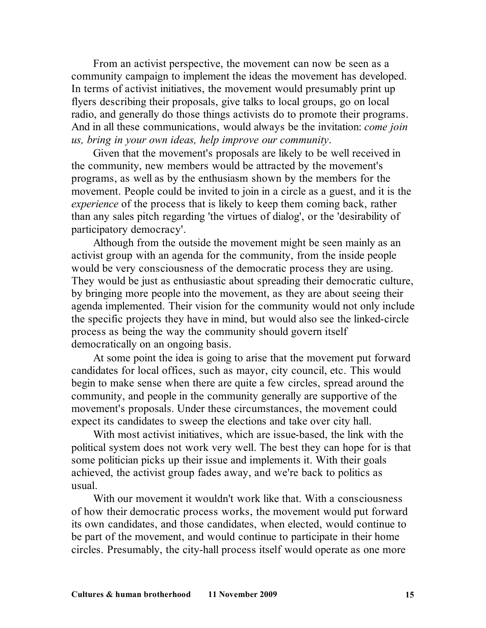From an activist perspective, the movement can now be seen as a community campaign to implement the ideas the movement has developed. In terms of activist initiatives, the movement would presumably print up flyers describing their proposals, give talks to local groups, go on local radio, and generally do those things activists do to promote their programs. And in all these communications, would always be the invitation: *come join us, bring in your own ideas, help improve our community*.

Given that the movement's proposals are likely to be well received in the community, new members would be attracted by the movement's programs, as well as by the enthusiasm shown by the members for the movement. People could be invited to join in a circle as a guest, and it is the *experience* of the process that is likely to keep them coming back, rather than any sales pitch regarding 'the virtues of dialog', or the 'desirability of participatory democracy'.

Although from the outside the movement might be seen mainly as an activist group with an agenda for the community, from the inside people would be very consciousness of the democratic process they are using. They would be just as enthusiastic about spreading their democratic culture, by bringing more people into the movement, as they are about seeing their agenda implemented. Their vision for the community would not only include the specific projects they have in mind, but would also see the linked-circle process as being the way the community should govern itself democratically on an ongoing basis.

At some point the idea is going to arise that the movement put forward candidates for local offices, such as mayor, city council, etc. This would begin to make sense when there are quite a few circles, spread around the community, and people in the community generally are supportive of the movement's proposals. Under these circumstances, the movement could expect its candidates to sweep the elections and take over city hall.

With most activist initiatives, which are issue-based, the link with the political system does not work very well. The best they can hope for is that some politician picks up their issue and implements it. With their goals achieved, the activist group fades away, and we're back to politics as usual.

With our movement it wouldn't work like that. With a consciousness of how their democratic process works, the movement would put forward its own candidates, and those candidates, when elected, would continue to be part of the movement, and would continue to participate in their home circles. Presumably, the city-hall process itself would operate as one more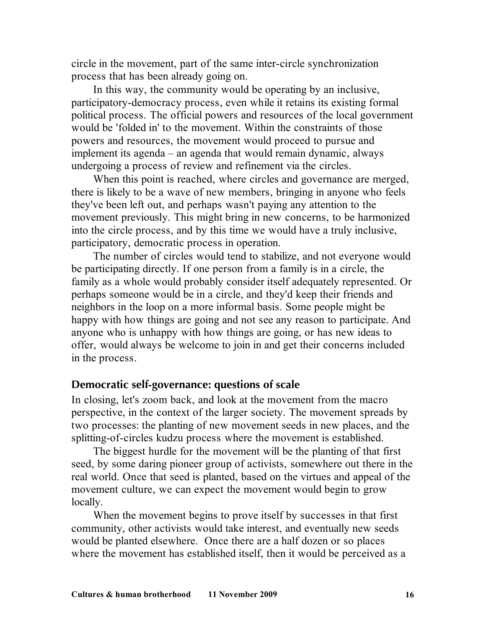circle in the movement, part of the same inter-circle synchronization process that has been already going on.

In this way, the community would be operating by an inclusive, participatory-democracy process, even while it retains its existing formal political process. The official powers and resources of the local government would be 'folded in' to the movement. Within the constraints of those powers and resources, the movement would proceed to pursue and implement its agenda – an agenda that would remain dynamic, always undergoing a process of review and refinement via the circles.

When this point is reached, where circles and governance are merged, there is likely to be a wave of new members, bringing in anyone who feels they've been left out, and perhaps wasn't paying any attention to the movement previously. This might bring in new concerns, to be harmonized into the circle process, and by this time we would have a truly inclusive, participatory, democratic process in operation.

The number of circles would tend to stabilize, and not everyone would be participating directly. If one person from a family is in a circle, the family as a whole would probably consider itself adequately represented. Or perhaps someone would be in a circle, and they'd keep their friends and neighbors in the loop on a more informal basis. Some people might be happy with how things are going and not see any reason to participate. And anyone who is unhappy with how things are going, or has new ideas to offer, would always be welcome to join in and get their concerns included in the process.

## **Democratic self-governance: questions of scale**

In closing, let's zoom back, and look at the movement from the macro perspective, in the context of the larger society. The movement spreads by two processes: the planting of new movement seeds in new places, and the splitting-of-circles kudzu process where the movement is established.

The biggest hurdle for the movement will be the planting of that first seed, by some daring pioneer group of activists, somewhere out there in the real world. Once that seed is planted, based on the virtues and appeal of the movement culture, we can expect the movement would begin to grow locally.

When the movement begins to prove itself by successes in that first community, other activists would take interest, and eventually new seeds would be planted elsewhere. Once there are a half dozen or so places where the movement has established itself, then it would be perceived as a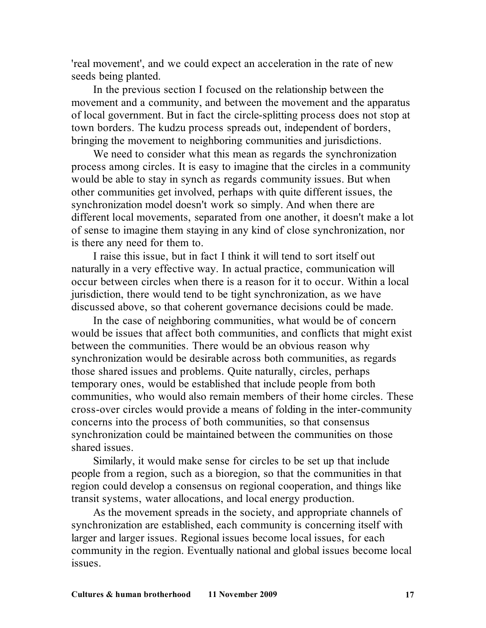'real movement', and we could expect an acceleration in the rate of new seeds being planted.

In the previous section I focused on the relationship between the movement and a community, and between the movement and the apparatus of local government. But in fact the circle-splitting process does not stop at town borders. The kudzu process spreads out, independent of borders, bringing the movement to neighboring communities and jurisdictions.

We need to consider what this mean as regards the synchronization process among circles. It is easy to imagine that the circles in a community would be able to stay in synch as regards community issues. But when other communities get involved, perhaps with quite different issues, the synchronization model doesn't work so simply. And when there are different local movements, separated from one another, it doesn't make a lot of sense to imagine them staying in any kind of close synchronization, nor is there any need for them to.

I raise this issue, but in fact I think it will tend to sort itself out naturally in a very effective way. In actual practice, communication will occur between circles when there is a reason for it to occur. Within a local jurisdiction, there would tend to be tight synchronization, as we have discussed above, so that coherent governance decisions could be made.

In the case of neighboring communities, what would be of concern would be issues that affect both communities, and conflicts that might exist between the communities. There would be an obvious reason why synchronization would be desirable across both communities, as regards those shared issues and problems. Quite naturally, circles, perhaps temporary ones, would be established that include people from both communities, who would also remain members of their home circles. These cross-over circles would provide a means of folding in the inter-community concerns into the process of both communities, so that consensus synchronization could be maintained between the communities on those shared issues.

Similarly, it would make sense for circles to be set up that include people from a region, such as a bioregion, so that the communities in that region could develop a consensus on regional cooperation, and things like transit systems, water allocations, and local energy production.

As the movement spreads in the society, and appropriate channels of synchronization are established, each community is concerning itself with larger and larger issues. Regional issues become local issues, for each community in the region. Eventually national and global issues become local issues.